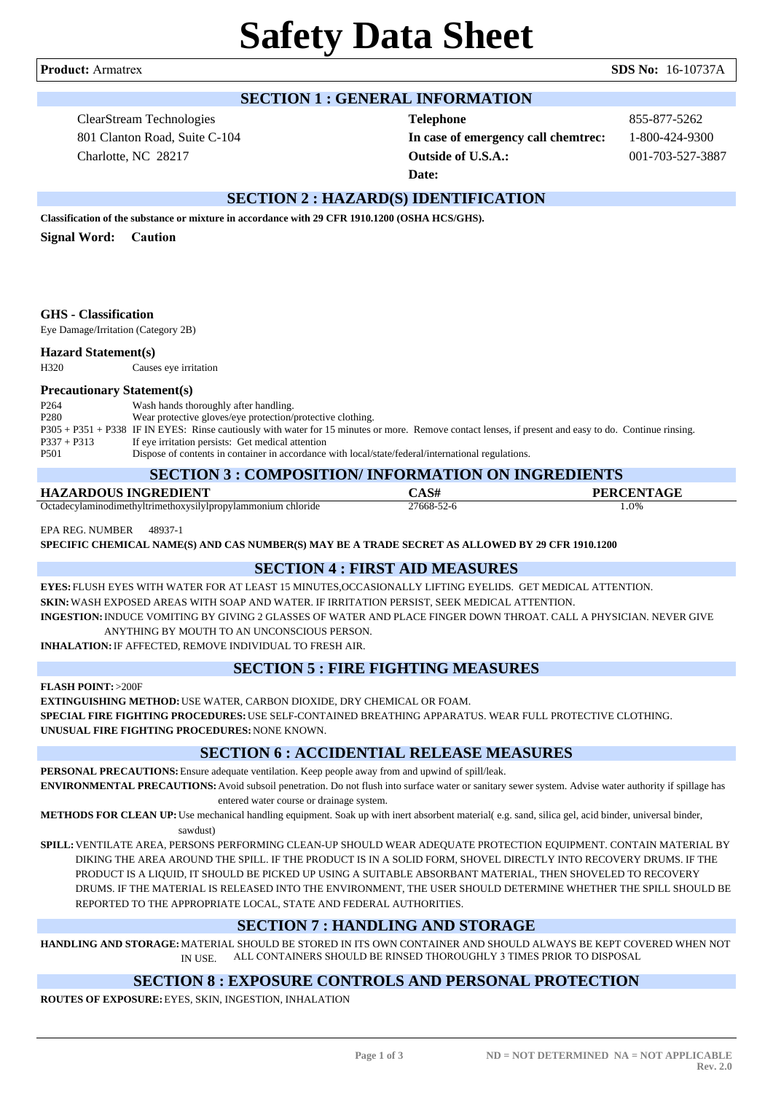**Product:** Armatrex **SDS No:** 16-10737A

# **SECTION 1 : GENERAL INFORMATION**

ClearStream Technologies 801 Clanton Road, Suite C-104 Charlotte, NC 28217

**Telephone** 855-877-5262 **In case of emergency call chemtrec:** 1-800-424-9300 **Outside of U.S.A.:** 001-703-527-3887 **Date:**

# **SECTION 2 : HAZARD(S) IDENTIFICATION**

**Classification of the substance or mixture in accordance with 29 CFR 1910.1200 (OSHA HCS/GHS).**

**Signal Word: Caution**

### **GHS - Classification**

Eye Damage/Irritation (Category 2B)

#### **Hazard Statement(s)**

H320 Causes eye irritation

#### **Precautionary Statement(s)**

| P <sub>264</sub> | Wash hands thoroughly after handling.                                                                                                                  |
|------------------|--------------------------------------------------------------------------------------------------------------------------------------------------------|
| P <sub>280</sub> | Wear protective gloves/eye protection/protective clothing.                                                                                             |
|                  | P305 + P351 + P338 IF IN EYES: Rinse cautiously with water for 15 minutes or more. Remove contact lenses, if present and easy to do. Continue rinsing. |
| $P337 + P313$    | If eye irritation persists: Get medical attention                                                                                                      |
| P <sub>501</sub> | Dispose of contents in container in accordance with local/state/federal/international regulations.                                                     |

#### **SECTION 3 : COMPOSITION/ INFORMATION ON INGREDIENTS**

| <u>BECHON 2 : COMI OBITION INFORMATION ON INDIVERTIB</u>     |                   |                   |  |  |  |
|--------------------------------------------------------------|-------------------|-------------------|--|--|--|
| HAZARDOUS INGREDIENT                                         | $\mathbb{C}$ AS#. | <b>PERCENTAGE</b> |  |  |  |
| Octadecylaminodimethyltrimethoxysilylpropylammonium chloride | ?7668-52-6        | $.0\%$            |  |  |  |

EPA REG. NUMBER 48937-1

**SPECIFIC CHEMICAL NAME(S) AND CAS NUMBER(S) MAY BE A TRADE SECRET AS ALLOWED BY 29 CFR 1910.1200**

# **SECTION 4 : FIRST AID MEASURES**

**EYES:** FLUSH EYES WITH WATER FOR AT LEAST 15 MINUTES,OCCASIONALLY LIFTING EYELIDS. GET MEDICAL ATTENTION. **SKIN:**WASH EXPOSED AREAS WITH SOAP AND WATER. IF IRRITATION PERSIST, SEEK MEDICAL ATTENTION. **INGESTION:**INDUCE VOMITING BY GIVING 2 GLASSES OF WATER AND PLACE FINGER DOWN THROAT. CALL A PHYSICIAN. NEVER GIVE

ANYTHING BY MOUTH TO AN UNCONSCIOUS PERSON.

**INHALATION:**IF AFFECTED, REMOVE INDIVIDUAL TO FRESH AIR.

# **SECTION 5 : FIRE FIGHTING MEASURES**

**FLASH POINT:** >200F

**EXTINGUISHING METHOD:**USE WATER, CARBON DIOXIDE, DRY CHEMICAL OR FOAM.

**SPECIAL FIRE FIGHTING PROCEDURES:**USE SELF-CONTAINED BREATHING APPARATUS. WEAR FULL PROTECTIVE CLOTHING. **UNUSUAL FIRE FIGHTING PROCEDURES:**NONE KNOWN.

# **SECTION 6 : ACCIDENTIAL RELEASE MEASURES**

**PERSONAL PRECAUTIONS:**Ensure adequate ventilation. Keep people away from and upwind of spill/leak.

**ENVIRONMENTAL PRECAUTIONS:**Avoid subsoil penetration. Do not flush into surface water or sanitary sewer system. Advise water authority if spillage has entered water course or drainage system.

**METHODS FOR CLEAN UP:**Use mechanical handling equipment. Soak up with inert absorbent material( e.g. sand, silica gel, acid binder, universal binder,

sawdust)

**SPILL:**VENTILATE AREA, PERSONS PERFORMING CLEAN-UP SHOULD WEAR ADEQUATE PROTECTION EQUIPMENT. CONTAIN MATERIAL BY DIKING THE AREA AROUND THE SPILL. IF THE PRODUCT IS IN A SOLID FORM, SHOVEL DIRECTLY INTO RECOVERY DRUMS. IF THE PRODUCT IS A LIQUID, IT SHOULD BE PICKED UP USING A SUITABLE ABSORBANT MATERIAL, THEN SHOVELED TO RECOVERY DRUMS. IF THE MATERIAL IS RELEASED INTO THE ENVIRONMENT, THE USER SHOULD DETERMINE WHETHER THE SPILL SHOULD BE REPORTED TO THE APPROPRIATE LOCAL, STATE AND FEDERAL AUTHORITIES.

# **SECTION 7 : HANDLING AND STORAGE**

**HANDLING AND STORAGE:**MATERIAL SHOULD BE STORED IN ITS OWN CONTAINER AND SHOULD ALWAYS BE KEPT COVERED WHEN NOT IN USE. ALL CONTAINERS SHOULD BE RINSED THOROUGHLY 3 TIMES PRIOR TO DISPOSAL

# **SECTION 8 : EXPOSURE CONTROLS AND PERSONAL PROTECTION**

**ROUTES OF EXPOSURE:**EYES, SKIN, INGESTION, INHALATION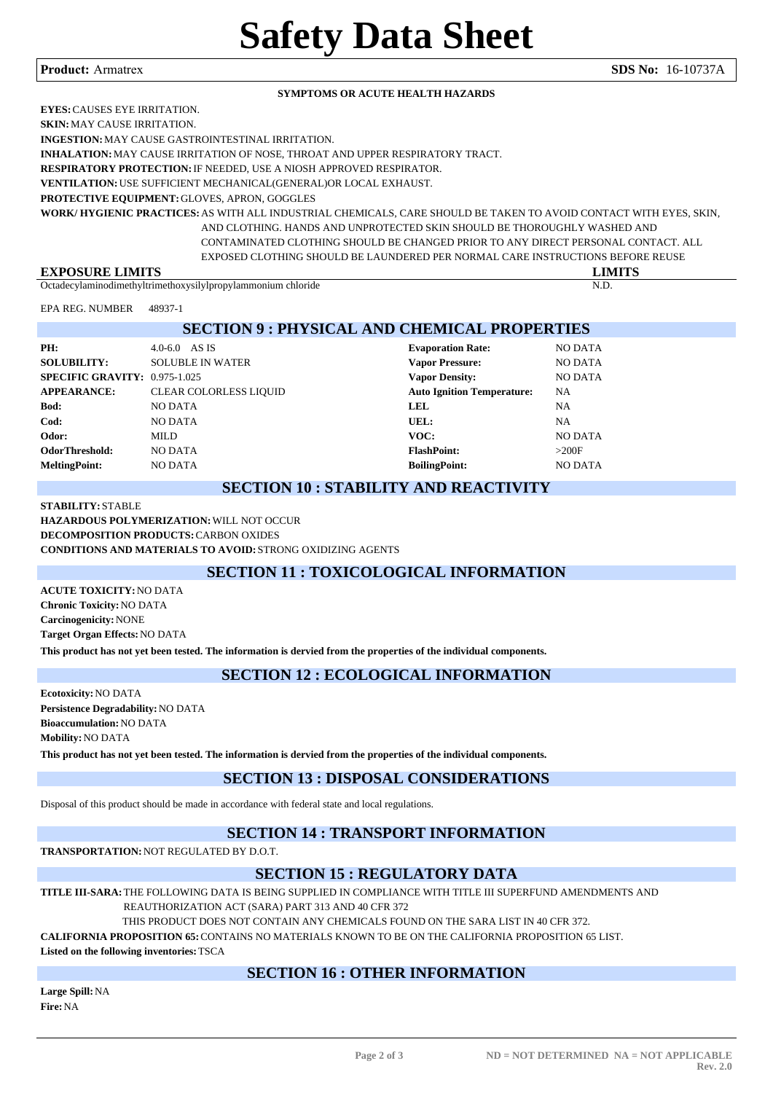#### **Product:** Armatrex **SDS No:** 16-10737A

#### **SYMPTOMS OR ACUTE HEALTH HAZARDS**

**EYES:**CAUSES EYE IRRITATION. **SKIN:**MAY CAUSE IRRITATION.

**INGESTION:**MAY CAUSE GASTROINTESTINAL IRRITATION.

**INHALATION:**MAY CAUSE IRRITATION OF NOSE, THROAT AND UPPER RESPIRATORY TRACT.

**RESPIRATORY PROTECTION:**IF NEEDED, USE A NIOSH APPROVED RESPIRATOR.

**VENTILATION:**USE SUFFICIENT MECHANICAL(GENERAL)OR LOCAL EXHAUST.

**PROTECTIVE EQUIPMENT:**GLOVES, APRON, GOGGLES

**WORK/ HYGIENIC PRACTICES:**AS WITH ALL INDUSTRIAL CHEMICALS, CARE SHOULD BE TAKEN TO AVOID CONTACT WITH EYES, SKIN, AND CLOTHING. HANDS AND UNPROTECTED SKIN SHOULD BE THOROUGHLY WASHED AND CONTAMINATED CLOTHING SHOULD BE CHANGED PRIOR TO ANY DIRECT PERSONAL CONTACT. ALL EXPOSED CLOTHING SHOULD BE LAUNDERED PER NORMAL CARE INSTRUCTIONS BEFORE REUSE

| <b>ATTOC</b><br>ГV<br>D<br>, K F<br>LA.       |      |
|-----------------------------------------------|------|
| Octadecy<br>chioride<br>lamınodım<br>ammonium | N.D. |

EPA REG. NUMBER 48937-1

# **SECTION 9 : PHYSICAL AND CHEMICAL PROPERTIES**

| PH:                           | $4.0 - 6.0$ AS IS             | <b>Evaporation Rate:</b>          | NO DATA   |
|-------------------------------|-------------------------------|-----------------------------------|-----------|
| <b>SOLUBILITY:</b>            | <b>SOLUBLE IN WATER</b>       | <b>Vapor Pressure:</b>            | NO DATA   |
| SPECIFIC GRAVITY: 0.975-1.025 |                               | <b>Vapor Density:</b>             | NO DATA   |
| <b>APPEARANCE:</b>            | <b>CLEAR COLORLESS LIQUID</b> | <b>Auto Ignition Temperature:</b> | <b>NA</b> |
| Bod:                          | NO DATA                       | <b>LEL</b>                        | NA        |
| Cod:                          | NO DATA                       | UEL:                              | NA        |
| Odor:                         | MILD                          | VOC:                              | NO DATA   |
| OdorThreshold:                | NO DATA                       | <b>FlashPoint:</b>                | >200F     |
| <b>MeltingPoint:</b>          | NO DATA                       | <b>BoilingPoint:</b>              | NO DATA   |
|                               |                               |                                   |           |

### **SECTION 10 : STABILITY AND REACTIVITY**

#### **STABILITY:** STABLE **HAZARDOUS POLYMERIZATION:**WILL NOT OCCUR **DECOMPOSITION PRODUCTS:**CARBON OXIDES **CONDITIONS AND MATERIALS TO AVOID:** STRONG OXIDIZING AGENTS

# **SECTION 11 : TOXICOLOGICAL INFORMATION**

**ACUTE TOXICITY:**NO DATA **Chronic Toxicity:**NO DATA **Carcinogenicity:**NONE **Target Organ Effects:**NO DATA

**This product has not yet been tested. The information is dervied from the properties of the individual components.**

# **SECTION 12 : ECOLOGICAL INFORMATION**

**Ecotoxicity:**NO DATA **Persistence Degradability:**NO DATA **Bioaccumulation:**NO DATA **Mobility:**NO DATA **This product has not yet been tested. The information is dervied from the properties of the individual components.**

# **SECTION 13 : DISPOSAL CONSIDERATIONS**

Disposal of this product should be made in accordance with federal state and local regulations.

# **SECTION 14 : TRANSPORT INFORMATION**

**TRANSPORTATION:**NOT REGULATED BY D.O.T.

# **SECTION 15 : REGULATORY DATA**

**TITLE III-SARA:**THE FOLLOWING DATA IS BEING SUPPLIED IN COMPLIANCE WITH TITLE III SUPERFUND AMENDMENTS AND

REAUTHORIZATION ACT (SARA) PART 313 AND 40 CFR 372

THIS PRODUCT DOES NOT CONTAIN ANY CHEMICALS FOUND ON THE SARA LIST IN 40 CFR 372.

**CALIFORNIA PROPOSITION 65:**CONTAINS NO MATERIALS KNOWN TO BE ON THE CALIFORNIA PROPOSITION 65 LIST.

**Listed on the following inventories:**TSCA

# **SECTION 16 : OTHER INFORMATION**

**Large Spill:**NA **Fire:**NA